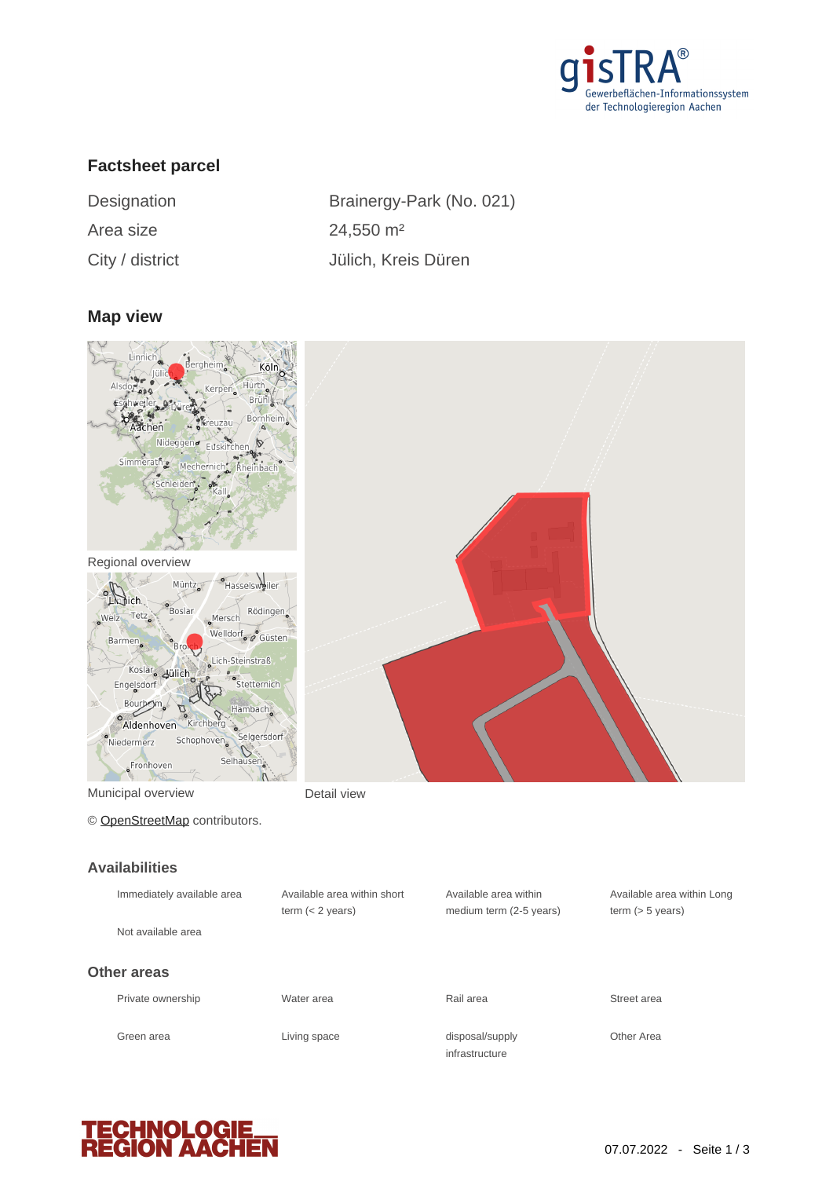

## **Factsheet parcel**

| Designation     | Brainergy-Park (No      |
|-----------------|-------------------------|
| Area size       | $24,550$ m <sup>2</sup> |
| City / district | Jülich, Kreis Düren     |

y-Park (No. 021)

#### **Map view**





Municipal overview **Detail view** 

© [OpenStreetMap](http://www.openstreetmap.org/copyright) contributors.

#### **Availabilities**

| лтинимпычч                 |                                                   |                                                  |                               |
|----------------------------|---------------------------------------------------|--------------------------------------------------|-------------------------------|
| Immediately available area | Available area within short<br>term $(< 2$ years) | Available area within<br>medium term (2-5 years) | Available a<br>term $(> 5 v)$ |
| Not available area         |                                                   |                                                  |                               |
| Other areas                |                                                   |                                                  |                               |
| Private ownership          | Water area                                        | Rail area                                        | Street area                   |
| Green area                 | Living space                                      | disposal/supply<br>infrastructure                | Other Area                    |





Available area within Long term (> 5 years)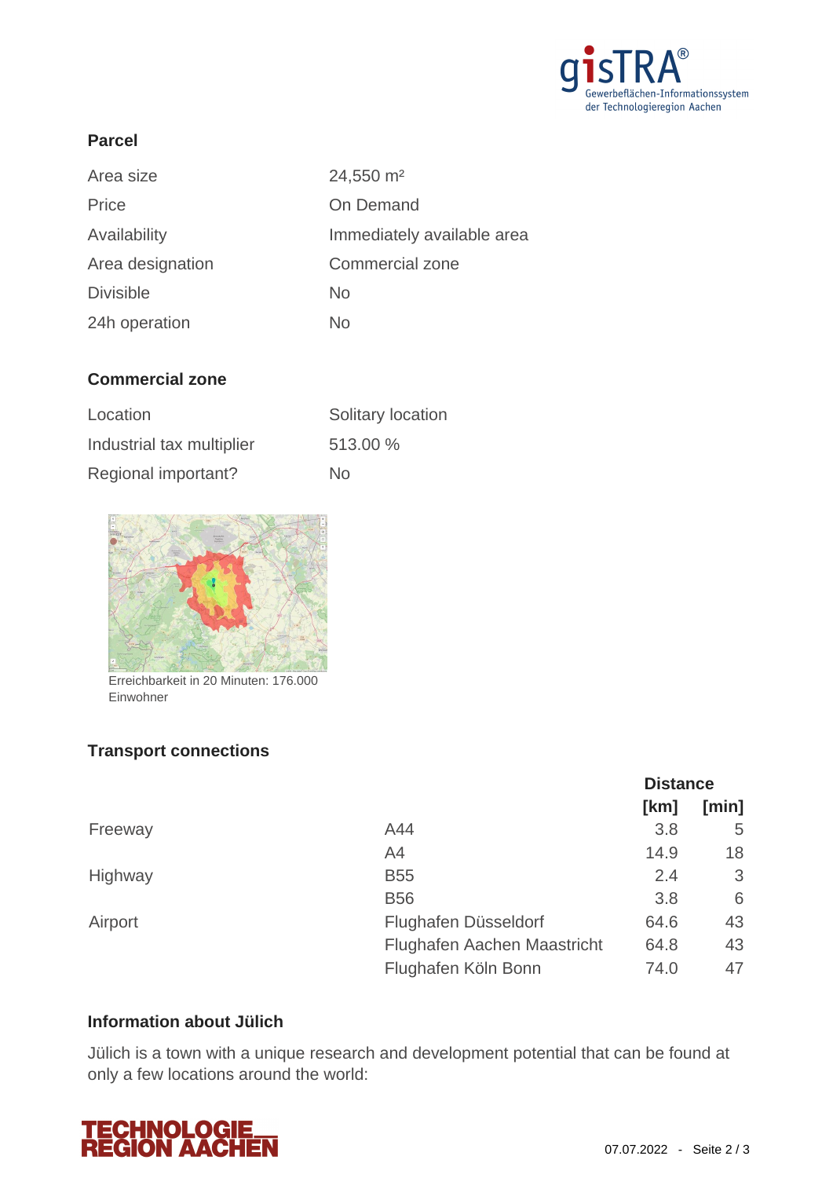

### **Parcel**

| Area size        | 24,550 m <sup>2</sup>      |
|------------------|----------------------------|
| Price            | On Demand                  |
| Availability     | Immediately available area |
| Area designation | Commercial zone            |
| <b>Divisible</b> | <b>No</b>                  |
| 24h operation    | No.                        |

## **Commercial zone**

| Location                  | Solitary location |
|---------------------------|-------------------|
| Industrial tax multiplier | 513.00 %          |
| Regional important?       | No.               |



Erreichbarkeit in 20 Minuten: 176.000 Einwohner

## **Transport connections**

|         |                             | <b>Distance</b> |       |
|---------|-----------------------------|-----------------|-------|
|         |                             | [km]            | [min] |
| Freeway | A44                         | 3.8             | 5     |
|         | A4                          | 14.9            | 18    |
| Highway | <b>B55</b>                  | 2.4             | 3     |
|         | <b>B56</b>                  | 3.8             | 6     |
| Airport | Flughafen Düsseldorf        | 64.6            | 43    |
|         | Flughafen Aachen Maastricht | 64.8            | 43    |
|         | Flughafen Köln Bonn         | 74.0            | 47    |

# **Information about Jülich**

Jülich is a town with a unique research and development potential that can be found at only a few locations around the world: